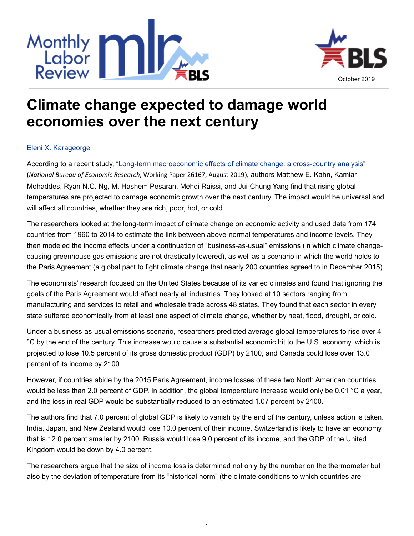



## **Climate change expected to damage world economies over the next century**

## [Eleni X. Karageorge](http://www.bls.gov/opub/mlr/author/karageorge-eleni-x.htm)

According to a recent study, "[Long-term macroeconomic effects of climate change: a cross-country analysis](https://www.nber.org/papers/w26167.pdf)" (*National Bureau of Economic Research*, Working Paper 26167, August 2019), authors Matthew E. Kahn, Kamiar Mohaddes, Ryan N.C. Ng, M. Hashem Pesaran, Mehdi Raissi, and Jui-Chung Yang find that rising global temperatures are projected to damage economic growth over the next century. The impact would be universal and will affect all countries, whether they are rich, poor, hot, or cold.

The researchers looked at the long-term impact of climate change on economic activity and used data from 174 countries from 1960 to 2014 to estimate the link between above-normal temperatures and income levels. They then modeled the income effects under a continuation of "business-as-usual" emissions (in which climate changecausing greenhouse gas emissions are not drastically lowered), as well as a scenario in which the world holds to the Paris Agreement (a global pact to fight climate change that nearly 200 countries agreed to in December 2015).

The economists' research focused on the United States because of its varied climates and found that ignoring the goals of the Paris Agreement would affect nearly all industries. They looked at 10 sectors ranging from manufacturing and services to retail and wholesale trade across 48 states. They found that each sector in every state suffered economically from at least one aspect of climate change, whether by heat, flood, drought, or cold.

Under a business-as-usual emissions scenario, researchers predicted average global temperatures to rise over 4 °C by the end of the century. This increase would cause a substantial economic hit to the U.S. economy, which is projected to lose 10.5 percent of its gross domestic product (GDP) by 2100, and Canada could lose over 13.0 percent of its income by 2100.

However, if countries abide by the 2015 Paris Agreement, income losses of these two North American countries would be less than 2.0 percent of GDP. In addition, the global temperature increase would only be 0.01 °C a year, and the loss in real GDP would be substantially reduced to an estimated 1.07 percent by 2100.

The authors find that 7.0 percent of global GDP is likely to vanish by the end of the century, unless action is taken. India, Japan, and New Zealand would lose 10.0 percent of their income. Switzerland is likely to have an economy that is 12.0 percent smaller by 2100. Russia would lose 9.0 percent of its income, and the GDP of the United Kingdom would be down by 4.0 percent.

The researchers argue that the size of income loss is determined not only by the number on the thermometer but also by the deviation of temperature from its "historical norm" (the climate conditions to which countries are